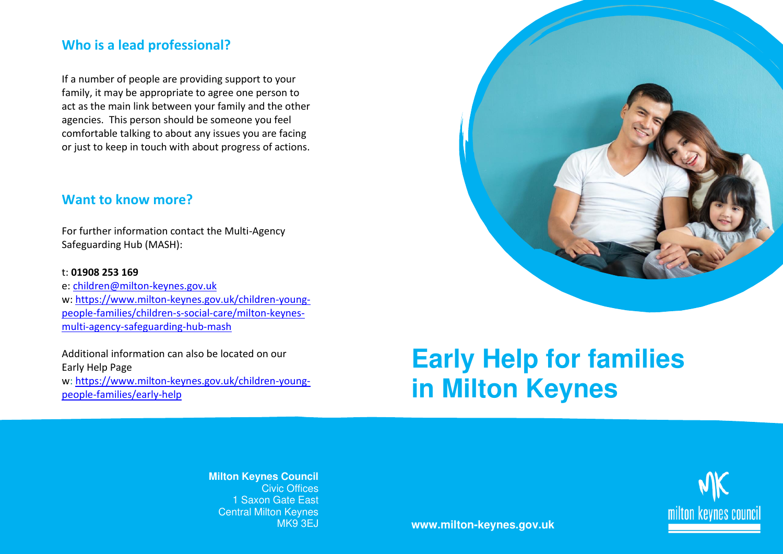### **Who is a lead professional?**

If a number of people are providing support to your family, it may be appropriate to agree one person to act as the main link between your family and the other agencies. This person should be someone you feel comfortable talking to about any issues you are facing or just to keep in touch with about progress of actions.

#### **Want to know more?**

For further information contact the Multi-Agency Safeguarding Hub (MASH):

#### t: **01908 253 169**

e: [children@milton-keynes.gov.uk](mailto:children@milton-keynes.gov.uk) w: [https://www.milton-keynes.gov.uk/children-young](https://www.milton-keynes.gov.uk/children-young-people-families/children-s-social-care/milton-keynes-multi-agency-safeguarding-hub-mash)[people-families/children-s-social-care/milton-keynes](https://www.milton-keynes.gov.uk/children-young-people-families/children-s-social-care/milton-keynes-multi-agency-safeguarding-hub-mash)[multi-agency-safeguarding-hub-mash](https://www.milton-keynes.gov.uk/children-young-people-families/children-s-social-care/milton-keynes-multi-agency-safeguarding-hub-mash)

Additional information can also be located on our Early Help Page w: [https://www.milton-keynes.gov.uk/children-young](https://www.milton-keynes.gov.uk/children-young-people-families/early-help/strengthening-families/reducing-parental-conflict-training)[people-families/early-help](https://www.milton-keynes.gov.uk/children-young-people-families/early-help/strengthening-families/reducing-parental-conflict-training)

# **Early Help for families in Milton Keynes**

**Milton Keynes Council**  Civic Offices 1 Saxon Gate East Central Milton Keynes



MK9 3EJ **www.milton-keynes.gov.uk**